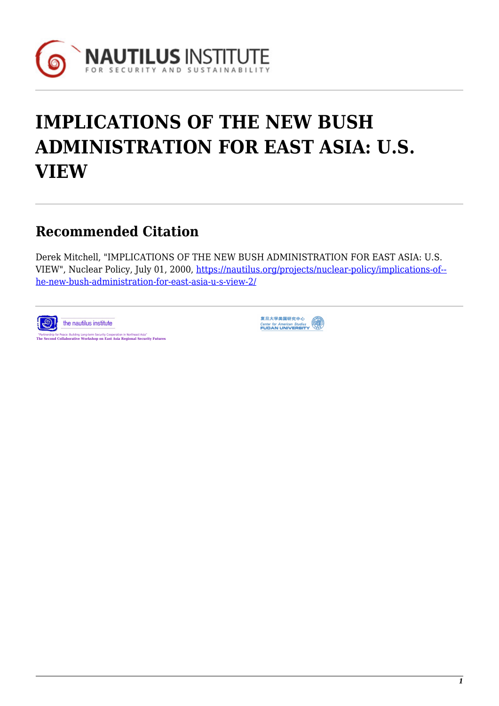

# **IMPLICATIONS OF THE NEW BUSH ADMINISTRATION FOR EAST ASIA: U.S. VIEW**

## **Recommended Citation**

Derek Mitchell, "IMPLICATIONS OF THE NEW BUSH ADMINISTRATION FOR EAST ASIA: U.S. VIEW", Nuclear Policy, July 01, 2000, [https://nautilus.org/projects/nuclear-policy/implications-of-](https://nautilus.org/projects/nuclear-policy/implications-of-the-new-bush-administration-for-east-asia-u-s-view-2/) [he-new-bush-administration-for-east-asia-u-s-view-2/](https://nautilus.org/projects/nuclear-policy/implications-of-the-new-bush-administration-for-east-asia-u-s-view-2/)



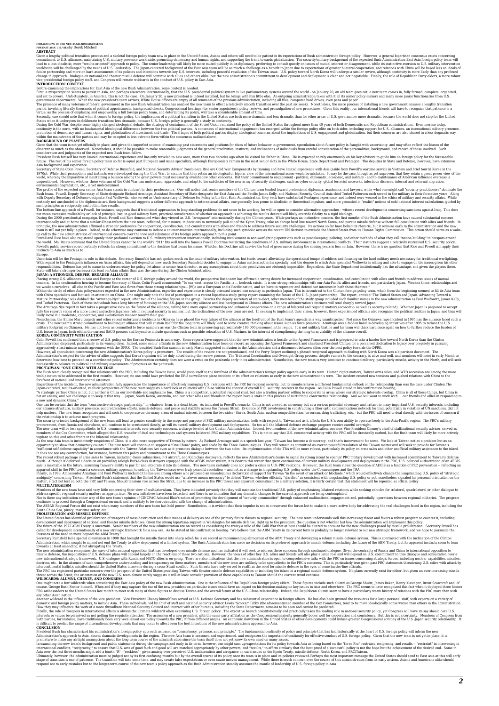Given a lengthy political ratinition process and sale skielal foreign plicar sinit and interest in the binded States, Asias and other selling plicar ratinition commutiment to U.S. aliances, maintaining U.S. military presen

### **I**ntesidential foreign policy<br>CONTECTION: CONTEXT

Brist, a misperception seems to prestal stia Asia, and the new Bush Administration, some context is needed. In ede, and the world is periss and the world - on January 20, an oid team goes out, a new team comes in, fully fo

observer as much as the observed. Nonetheless, it should be possible to make reasonable judgments of the general proclivities, instincts, and inclinations of individuals from careful consideration and the personalities, ba

huno. The rest of this senior forties and period means for its equal part European and Asia abough European in its meant of the mean of Periodic and Periodic Sixter and Periodic Sixter and Periodic Sixter and Periodic Sixt

Europe.<br>Uncertain will be the Pentagon's role in this debate. Secretary Rumsfeld has not spoken much on the issue of military intervention, but tends toward alleviating the operational tempo of soldiers and focusing on the

Placing strong U.S. aliances in Asia and Europe at the centre of U.S. Foreign policy around the word; the prospective Bush team has affirmed strong desire for increased conoperation, conditation with alies and friends y.C.

Colin Powell has confirmed that a review of U.S. policy on the Korean Peninsula is underway. Some reports have suggested that the new Administration core as opposing the Agreed Framework and chastised President Clinton for

PROFAINAN: YONE CHINA WITH AN EDGE. Including the Taiwan issue, would push itself to the forefront of the Administration's foreign policy agends early in its term. Human rights matters, Taiwan arms sales, and WTO accession

opportunity to show that democrosy counts." The new team will continue to support a "brombate by here communiques. They will remain as committed sever to separate with the Taiwan matter and will contents. The new team inte

MULTILATERALISM<br>Members of the new team have said very little concerning their view of multilateralism. They have indicated privately that they will maintain the traditional U.S. policy of emphasizing bilateral relations w

### South China Sea, piracy, maritime safety, etc. **PROLIFERATION AND MISSILE DEFENSE**

The United States has identified proliferation of weapons of mass defense, incomparated with their means of delivery as one of the primary future breaks to regional security. The new team understands will this increasing t

## One might note a few wildcards when considering the East Asia policy of the new Bush Administration. One is the influence of the Republican foreign policy elders. These figures include such alumni as George Shultz, James B

any other wildcarn aiton.<br>Another wildcard is the influence of the vice president. Vice President Cheney himself has seved as U.S. Defense Secretary and has substantial experience in foreign affairs. He has also been grant

President Bush has characterized his administration Storeign policy approach as based on "consistency, paitence, and principle." The fundamental consistency inform the interventing of policy and results in the heat of U.S.